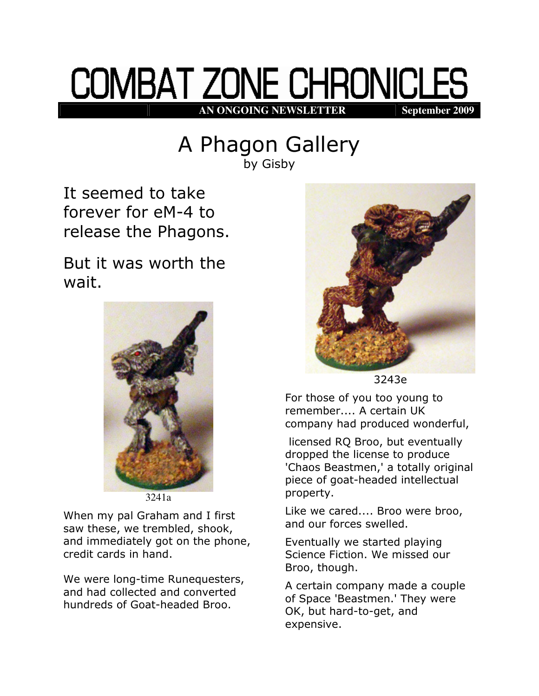## **COMBAT ZONE CHRONICLES AN ONGOING NEWSLETTER September 2009**

## A Phagon Gallery

by Gisby

It seemed to take forever for eM-4 to release the Phagons.

But it was worth the wait.



3241a

When my pal Graham and I first saw these, we trembled, shook, and immediately got on the phone, credit cards in hand.

We were long-time Runequesters, and had collected and converted hundreds of Goat-headed Broo.



3243e

For those of you too young to remember.... A certain UK company had produced wonderful,

 licensed RQ Broo, but eventually dropped the license to produce 'Chaos Beastmen,' a totally original piece of goat-headed intellectual property.

Like we cared.... Broo were broo, and our forces swelled.

Eventually we started playing Science Fiction. We missed our Broo, though.

A certain company made a couple of Space 'Beastmen.' They were OK, but hard-to-get, and expensive.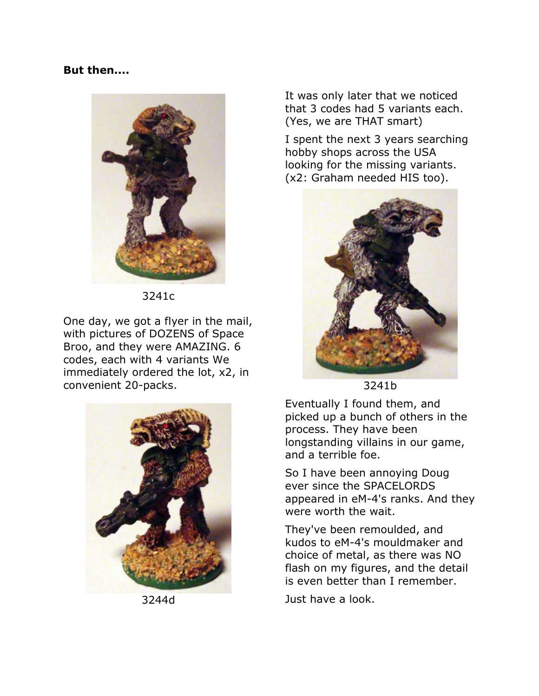## But then....



3241c

One day, we got a flyer in the mail, with pictures of DOZENS of Space Broo, and they were AMAZING. 6 codes, each with 4 variants We immediately ordered the lot, x2, in convenient 20-packs.



3244d

It was only later that we noticed that 3 codes had 5 variants each. (Yes, we are THAT smart)

I spent the next 3 years searching hobby shops across the USA looking for the missing variants. (x2: Graham needed HIS too).



3241b

Eventually I found them, and picked up a bunch of others in the process. They have been longstanding villains in our game, and a terrible foe.

So I have been annoying Doug ever since the SPACELORDS appeared in eM-4's ranks. And they were worth the wait.

They've been remoulded, and kudos to eM-4's mouldmaker and choice of metal, as there was NO flash on my figures, and the detail is even better than I remember.

Just have a look.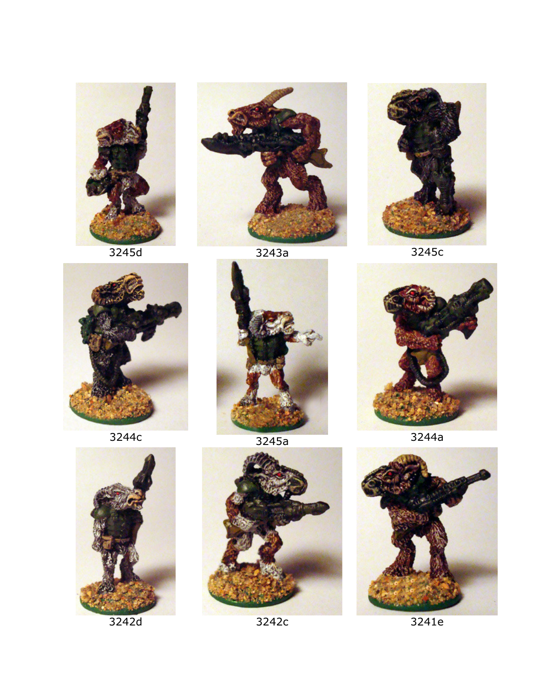